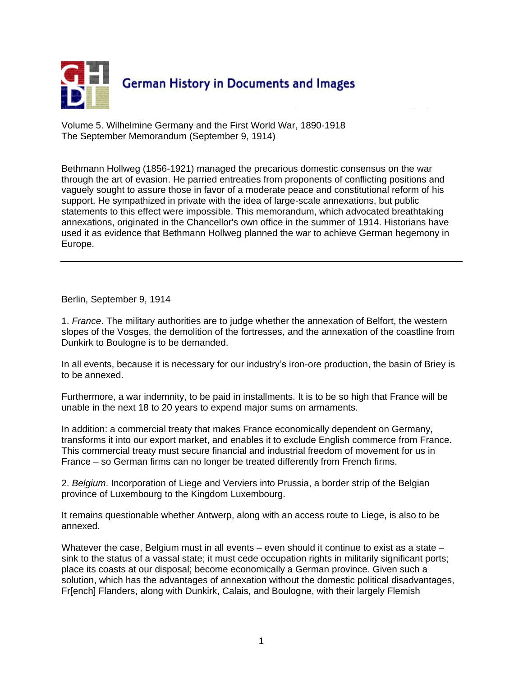

Volume 5. Wilhelmine Germany and the First World War, 1890-1918 The September Memorandum (September 9, 1914)

Bethmann Hollweg (1856-1921) managed the precarious domestic consensus on the war through the art of evasion. He parried entreaties from proponents of conflicting positions and vaguely sought to assure those in favor of a moderate peace and constitutional reform of his support. He sympathized in private with the idea of large-scale annexations, but public statements to this effect were impossible. This memorandum, which advocated breathtaking annexations, originated in the Chancellor's own office in the summer of 1914. Historians have used it as evidence that Bethmann Hollweg planned the war to achieve German hegemony in Europe.

Berlin, September 9, 1914

1. *France*. The military authorities are to judge whether the annexation of Belfort, the western slopes of the Vosges, the demolition of the fortresses, and the annexation of the coastline from Dunkirk to Boulogne is to be demanded.

In all events, because it is necessary for our industry's iron-ore production, the basin of Briey is to be annexed.

Furthermore, a war indemnity, to be paid in installments. It is to be so high that France will be unable in the next 18 to 20 years to expend major sums on armaments.

In addition: a commercial treaty that makes France economically dependent on Germany, transforms it into our export market, and enables it to exclude English commerce from France. This commercial treaty must secure financial and industrial freedom of movement for us in France – so German firms can no longer be treated differently from French firms.

2. *Belgium*. Incorporation of Liege and Verviers into Prussia, a border strip of the Belgian province of Luxembourg to the Kingdom Luxembourg.

It remains questionable whether Antwerp, along with an access route to Liege, is also to be annexed.

Whatever the case, Belgium must in all events – even should it continue to exist as a state – sink to the status of a vassal state; it must cede occupation rights in militarily significant ports; place its coasts at our disposal; become economically a German province. Given such a solution, which has the advantages of annexation without the domestic political disadvantages, Fr[ench] Flanders, along with Dunkirk, Calais, and Boulogne, with their largely Flemish